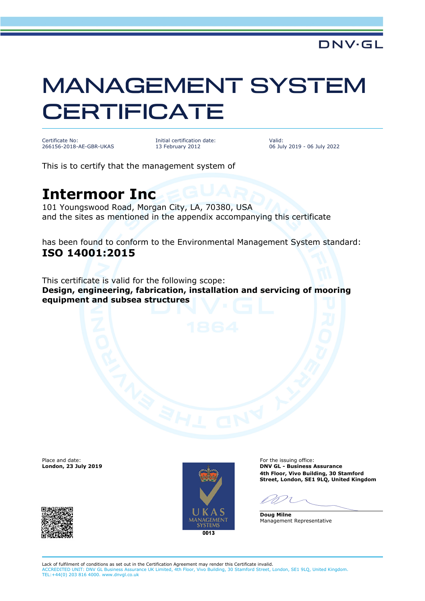## MANAGEMENT SYSTEM **CERTIFICATE**

Certificate No: 266156-2018-AE-GBR-UKAS Initial certification date: 13 February 2012

Valid: 06 July 2019 - 06 July 2022

This is to certify that the management system of

## **Intermoor Inc**

101 Youngswood Road, Morgan City, LA, 70380, USA and the sites as mentioned in the appendix accompanying this certificate

has been found to conform to the Environmental Management System standard: **ISO 14001:2015**

This certificate is valid for the following scope: **Design, engineering, fabrication, installation and servicing of mooring equipment and subsea structures**

Place and date:<br>London, 23 July 2019



For the issuing office: **London, 23 July 2019 DNV GL - Business Assurance 4th Floor, Vivo Building, 30 Stamford Street, London, SE1 9LQ, United Kingdom**

**Doug Milne** Management Representative